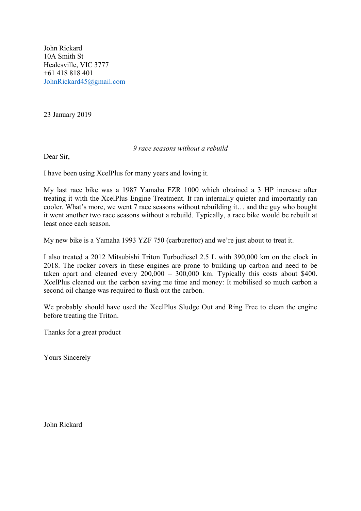John Rickard 10A Smith St Healesville, VIC 3777 +61 418 818 401 [JohnRickard45@gmail.com](mailto:JohnRickard45@gmail.com)

23 January 2019

## *9 race seasons without a rebuild*

Dear Sir,

I have been using XcelPlus for many years and loving it.

My last race bike was a 1987 Yamaha FZR 1000 which obtained a 3 HP increase after treating it with the XcelPlus Engine Treatment. It ran internally quieter and importantly ran cooler. What's more, we went 7 race seasons without rebuilding it… and the guy who bought it went another two race seasons without a rebuild. Typically, a race bike would be rebuilt at least once each season.

My new bike is a Yamaha 1993 YZF 750 (carburettor) and we're just about to treat it.

I also treated a 2012 Mitsubishi Triton Turbodiesel 2.5 L with 390,000 km on the clock in 2018. The rocker covers in these engines are prone to building up carbon and need to be taken apart and cleaned every 200,000 – 300,000 km. Typically this costs about \$400. XcelPlus cleaned out the carbon saving me time and money: It mobilised so much carbon a second oil change was required to flush out the carbon.

We probably should have used the XcelPlus Sludge Out and Ring Free to clean the engine before treating the Triton.

Thanks for a great product

Yours Sincerely

John Rickard